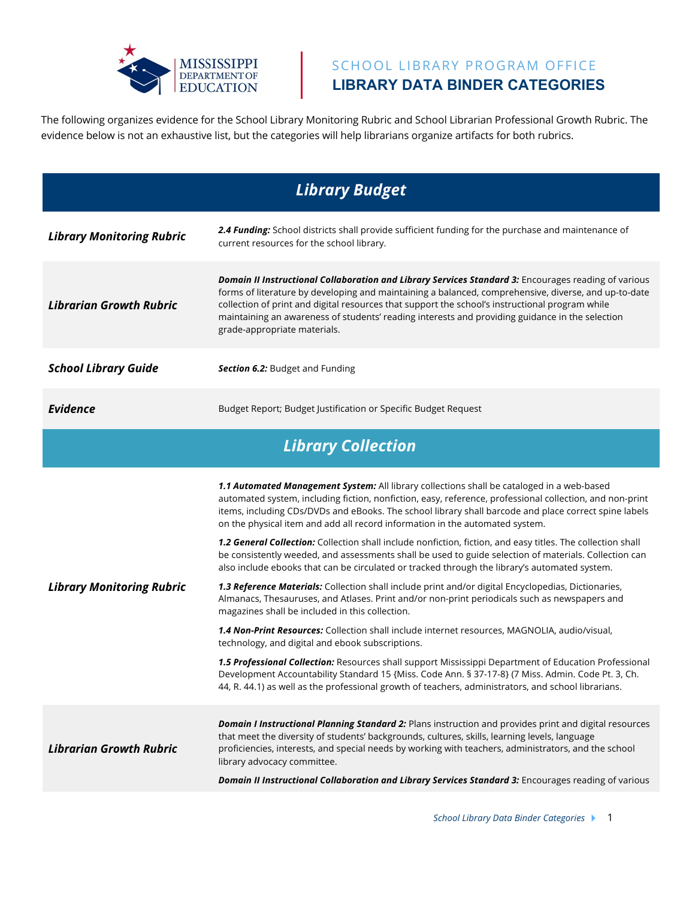

## SCHOOL LIBRARY PROGRAM OFFICE **LIBRARY DATA BINDER CATEGORIES**

The following organizes evidence for the School Library Monitoring Rubric and School Librarian Professional Growth Rubric. The evidence below is not an exhaustive list, but the categories will help librarians organize artifacts for both rubrics.

| <b>Library Budget</b>            |                                                                                                                                                                                                                                                                                                                                                                                                                                                                                                                                                                                                                                                                                                                                                                                                                                                                                                                                                                                                                                                                                                                                                                                                                                                                                                                                                                                                                                                                |  |
|----------------------------------|----------------------------------------------------------------------------------------------------------------------------------------------------------------------------------------------------------------------------------------------------------------------------------------------------------------------------------------------------------------------------------------------------------------------------------------------------------------------------------------------------------------------------------------------------------------------------------------------------------------------------------------------------------------------------------------------------------------------------------------------------------------------------------------------------------------------------------------------------------------------------------------------------------------------------------------------------------------------------------------------------------------------------------------------------------------------------------------------------------------------------------------------------------------------------------------------------------------------------------------------------------------------------------------------------------------------------------------------------------------------------------------------------------------------------------------------------------------|--|
| <b>Library Monitoring Rubric</b> | 2.4 Funding: School districts shall provide sufficient funding for the purchase and maintenance of<br>current resources for the school library.                                                                                                                                                                                                                                                                                                                                                                                                                                                                                                                                                                                                                                                                                                                                                                                                                                                                                                                                                                                                                                                                                                                                                                                                                                                                                                                |  |
| <b>Librarian Growth Rubric</b>   | Domain II Instructional Collaboration and Library Services Standard 3: Encourages reading of various<br>forms of literature by developing and maintaining a balanced, comprehensive, diverse, and up-to-date<br>collection of print and digital resources that support the school's instructional program while<br>maintaining an awareness of students' reading interests and providing guidance in the selection<br>grade-appropriate materials.                                                                                                                                                                                                                                                                                                                                                                                                                                                                                                                                                                                                                                                                                                                                                                                                                                                                                                                                                                                                             |  |
| <b>School Library Guide</b>      | Section 6.2: Budget and Funding                                                                                                                                                                                                                                                                                                                                                                                                                                                                                                                                                                                                                                                                                                                                                                                                                                                                                                                                                                                                                                                                                                                                                                                                                                                                                                                                                                                                                                |  |
| <b>Evidence</b>                  | Budget Report; Budget Justification or Specific Budget Request                                                                                                                                                                                                                                                                                                                                                                                                                                                                                                                                                                                                                                                                                                                                                                                                                                                                                                                                                                                                                                                                                                                                                                                                                                                                                                                                                                                                 |  |
| <b>Library Collection</b>        |                                                                                                                                                                                                                                                                                                                                                                                                                                                                                                                                                                                                                                                                                                                                                                                                                                                                                                                                                                                                                                                                                                                                                                                                                                                                                                                                                                                                                                                                |  |
| <b>Library Monitoring Rubric</b> | 1.1 Automated Management System: All library collections shall be cataloged in a web-based<br>automated system, including fiction, nonfiction, easy, reference, professional collection, and non-print<br>items, including CDs/DVDs and eBooks. The school library shall barcode and place correct spine labels<br>on the physical item and add all record information in the automated system.<br>1.2 General Collection: Collection shall include nonfiction, fiction, and easy titles. The collection shall<br>be consistently weeded, and assessments shall be used to guide selection of materials. Collection can<br>also include ebooks that can be circulated or tracked through the library's automated system.<br>1.3 Reference Materials: Collection shall include print and/or digital Encyclopedias, Dictionaries,<br>Almanacs, Thesauruses, and Atlases. Print and/or non-print periodicals such as newspapers and<br>magazines shall be included in this collection.<br>1.4 Non-Print Resources: Collection shall include internet resources, MAGNOLIA, audio/visual,<br>technology, and digital and ebook subscriptions.<br>1.5 Professional Collection: Resources shall support Mississippi Department of Education Professional<br>Development Accountability Standard 15 {Miss. Code Ann. § 37-17-8} (7 Miss. Admin. Code Pt. 3, Ch.<br>44, R. 44.1) as well as the professional growth of teachers, administrators, and school librarians. |  |
| <b>Librarian Growth Rubric</b>   | Domain I Instructional Planning Standard 2: Plans instruction and provides print and digital resources<br>that meet the diversity of students' backgrounds, cultures, skills, learning levels, language<br>proficiencies, interests, and special needs by working with teachers, administrators, and the school<br>library advocacy committee.<br>Domain II Instructional Collaboration and Library Services Standard 3: Encourages reading of various                                                                                                                                                                                                                                                                                                                                                                                                                                                                                                                                                                                                                                                                                                                                                                                                                                                                                                                                                                                                         |  |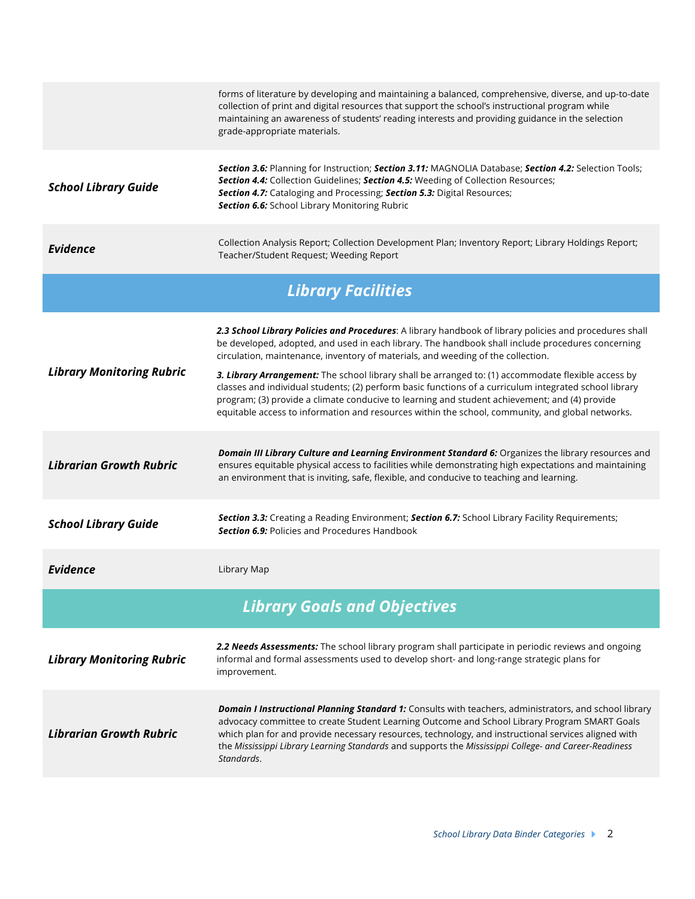|                                     | forms of literature by developing and maintaining a balanced, comprehensive, diverse, and up-to-date<br>collection of print and digital resources that support the school's instructional program while<br>maintaining an awareness of students' reading interests and providing guidance in the selection<br>grade-appropriate materials.                                                                                                  |  |
|-------------------------------------|---------------------------------------------------------------------------------------------------------------------------------------------------------------------------------------------------------------------------------------------------------------------------------------------------------------------------------------------------------------------------------------------------------------------------------------------|--|
| <b>School Library Guide</b>         | Section 3.6: Planning for Instruction; Section 3.11: MAGNOLIA Database; Section 4.2: Selection Tools;<br>Section 4.4: Collection Guidelines; Section 4.5: Weeding of Collection Resources;<br>Section 4.7: Cataloging and Processing; Section 5.3: Digital Resources;<br>Section 6.6: School Library Monitoring Rubric                                                                                                                      |  |
| <b>Evidence</b>                     | Collection Analysis Report; Collection Development Plan; Inventory Report; Library Holdings Report;<br>Teacher/Student Request; Weeding Report                                                                                                                                                                                                                                                                                              |  |
| <b>Library Facilities</b>           |                                                                                                                                                                                                                                                                                                                                                                                                                                             |  |
| <b>Library Monitoring Rubric</b>    | 2.3 School Library Policies and Procedures: A library handbook of library policies and procedures shall<br>be developed, adopted, and used in each library. The handbook shall include procedures concerning<br>circulation, maintenance, inventory of materials, and weeding of the collection.                                                                                                                                            |  |
|                                     | 3. Library Arrangement: The school library shall be arranged to: (1) accommodate flexible access by<br>classes and individual students; (2) perform basic functions of a curriculum integrated school library<br>program; (3) provide a climate conducive to learning and student achievement; and (4) provide<br>equitable access to information and resources within the school, community, and global networks.                          |  |
| <b>Librarian Growth Rubric</b>      | Domain III Library Culture and Learning Environment Standard 6: Organizes the library resources and<br>ensures equitable physical access to facilities while demonstrating high expectations and maintaining<br>an environment that is inviting, safe, flexible, and conducive to teaching and learning.                                                                                                                                    |  |
| <b>School Library Guide</b>         | Section 3.3: Creating a Reading Environment; Section 6.7: School Library Facility Requirements;<br><b>Section 6.9:</b> Policies and Procedures Handbook                                                                                                                                                                                                                                                                                     |  |
| <b>Evidence</b>                     | Library Map                                                                                                                                                                                                                                                                                                                                                                                                                                 |  |
| <b>Library Goals and Objectives</b> |                                                                                                                                                                                                                                                                                                                                                                                                                                             |  |
| <b>Library Monitoring Rubric</b>    | 2.2 Needs Assessments: The school library program shall participate in periodic reviews and ongoing<br>informal and formal assessments used to develop short- and long-range strategic plans for<br>improvement.                                                                                                                                                                                                                            |  |
| <b>Librarian Growth Rubric</b>      | <b>Domain I Instructional Planning Standard 1:</b> Consults with teachers, administrators, and school library<br>advocacy committee to create Student Learning Outcome and School Library Program SMART Goals<br>which plan for and provide necessary resources, technology, and instructional services aligned with<br>the Mississippi Library Learning Standards and supports the Mississippi College- and Career-Readiness<br>Standards. |  |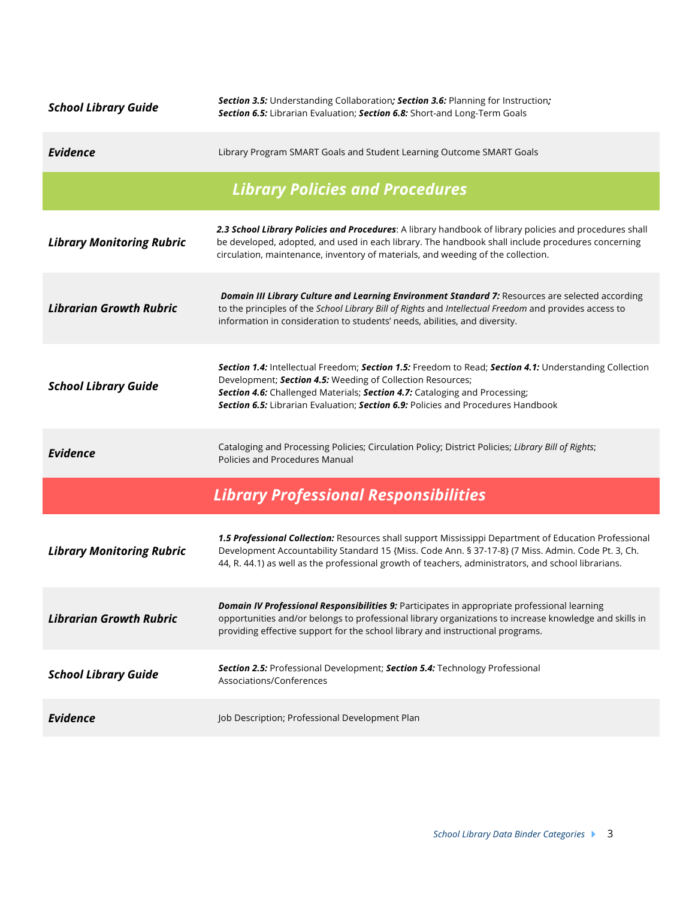| <b>School Library Guide</b>            | Section 3.5: Understanding Collaboration; Section 3.6: Planning for Instruction;<br>Section 6.5: Librarian Evaluation; Section 6.8: Short-and Long-Term Goals                                                                                                                                                                          |  |
|----------------------------------------|----------------------------------------------------------------------------------------------------------------------------------------------------------------------------------------------------------------------------------------------------------------------------------------------------------------------------------------|--|
| <b>Evidence</b>                        | Library Program SMART Goals and Student Learning Outcome SMART Goals                                                                                                                                                                                                                                                                   |  |
| <b>Library Policies and Procedures</b> |                                                                                                                                                                                                                                                                                                                                        |  |
| <b>Library Monitoring Rubric</b>       | 2.3 School Library Policies and Procedures: A library handbook of library policies and procedures shall<br>be developed, adopted, and used in each library. The handbook shall include procedures concerning<br>circulation, maintenance, inventory of materials, and weeding of the collection.                                       |  |
| <b>Librarian Growth Rubric</b>         | Domain III Library Culture and Learning Environment Standard 7: Resources are selected according<br>to the principles of the School Library Bill of Rights and Intellectual Freedom and provides access to<br>information in consideration to students' needs, abilities, and diversity.                                               |  |
| <b>School Library Guide</b>            | Section 1.4: Intellectual Freedom; Section 1.5: Freedom to Read; Section 4.1: Understanding Collection<br>Development; Section 4.5: Weeding of Collection Resources;<br>Section 4.6: Challenged Materials; Section 4.7: Cataloging and Processing;<br>Section 6.5: Librarian Evaluation; Section 6.9: Policies and Procedures Handbook |  |
| <b>Evidence</b>                        | Cataloging and Processing Policies; Circulation Policy; District Policies; Library Bill of Rights;<br>Policies and Procedures Manual                                                                                                                                                                                                   |  |
|                                        | <b>Library Professional Responsibilities</b>                                                                                                                                                                                                                                                                                           |  |
| <b>Library Monitoring Rubric</b>       | 1.5 Professional Collection: Resources shall support Mississippi Department of Education Professional<br>Development Accountability Standard 15 {Miss. Code Ann. § 37-17-8} (7 Miss. Admin. Code Pt. 3, Ch.<br>44, R. 44.1) as well as the professional growth of teachers, administrators, and school librarians.                     |  |
| <b>Librarian Growth Rubric</b>         | Domain IV Professional Responsibilities 9: Participates in appropriate professional learning<br>opportunities and/or belongs to professional library organizations to increase knowledge and skills in<br>providing effective support for the school library and instructional programs.                                               |  |
| <b>School Library Guide</b>            | Section 2.5: Professional Development; Section 5.4: Technology Professional<br>Associations/Conferences                                                                                                                                                                                                                                |  |
| <b>Evidence</b>                        | Job Description; Professional Development Plan                                                                                                                                                                                                                                                                                         |  |